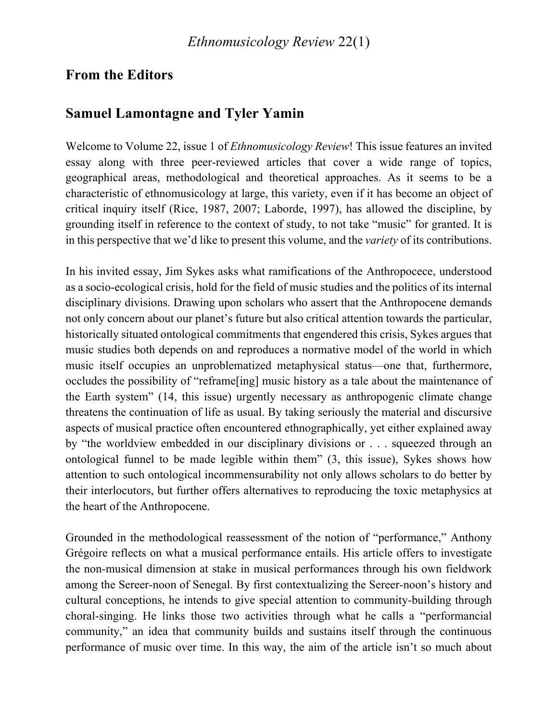## **From the Editors**

## **Samuel Lamontagne and Tyler Yamin**

Welcome to Volume 22, issue 1 of *Ethnomusicology Review*! This issue features an invited essay along with three peer-reviewed articles that cover a wide range of topics, geographical areas, methodological and theoretical approaches. As it seems to be a characteristic of ethnomusicology at large, this variety, even if it has become an object of critical inquiry itself (Rice, 1987, 2007; Laborde, 1997), has allowed the discipline, by grounding itself in reference to the context of study, to not take "music" for granted. It is in this perspective that we'd like to present this volume, and the *variety* of its contributions.

In his invited essay, Jim Sykes asks what ramifications of the Anthropocece, understood as a socio-ecological crisis, hold for the field of music studies and the politics of its internal disciplinary divisions. Drawing upon scholars who assert that the Anthropocene demands not only concern about our planet's future but also critical attention towards the particular, historically situated ontological commitments that engendered this crisis, Sykes argues that music studies both depends on and reproduces a normative model of the world in which music itself occupies an unproblematized metaphysical status—one that, furthermore, occludes the possibility of "reframe[ing] music history as a tale about the maintenance of the Earth system" (14, this issue) urgently necessary as anthropogenic climate change threatens the continuation of life as usual. By taking seriously the material and discursive aspects of musical practice often encountered ethnographically, yet either explained away by "the worldview embedded in our disciplinary divisions or . . . squeezed through an ontological funnel to be made legible within them" (3, this issue), Sykes shows how attention to such ontological incommensurability not only allows scholars to do better by their interlocutors, but further offers alternatives to reproducing the toxic metaphysics at the heart of the Anthropocene.

Grounded in the methodological reassessment of the notion of "performance," Anthony Grégoire reflects on what a musical performance entails. His article offers to investigate the non-musical dimension at stake in musical performances through his own fieldwork among the Sereer-noon of Senegal. By first contextualizing the Sereer-noon's history and cultural conceptions, he intends to give special attention to community-building through choral-singing. He links those two activities through what he calls a "performancial community," an idea that community builds and sustains itself through the continuous performance of music over time. In this way, the aim of the article isn't so much about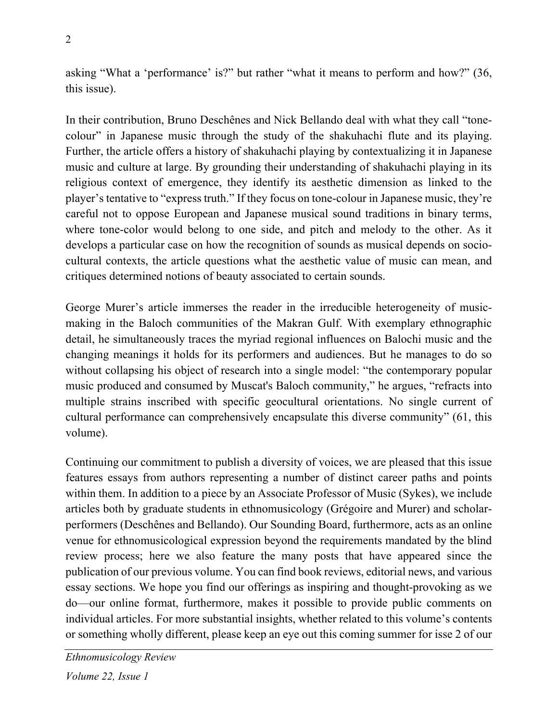asking "What a 'performance' is?" but rather "what it means to perform and how?" (36, this issue).

In their contribution, Bruno Deschênes and Nick Bellando deal with what they call "tonecolour" in Japanese music through the study of the shakuhachi flute and its playing. Further, the article offers a history of shakuhachi playing by contextualizing it in Japanese music and culture at large. By grounding their understanding of shakuhachi playing in its religious context of emergence, they identify its aesthetic dimension as linked to the player's tentative to "express truth." If they focus on tone-colour in Japanese music, they're careful not to oppose European and Japanese musical sound traditions in binary terms, where tone-color would belong to one side, and pitch and melody to the other. As it develops a particular case on how the recognition of sounds as musical depends on sociocultural contexts, the article questions what the aesthetic value of music can mean, and critiques determined notions of beauty associated to certain sounds.

George Murer's article immerses the reader in the irreducible heterogeneity of musicmaking in the Baloch communities of the Makran Gulf. With exemplary ethnographic detail, he simultaneously traces the myriad regional influences on Balochi music and the changing meanings it holds for its performers and audiences. But he manages to do so without collapsing his object of research into a single model: "the contemporary popular music produced and consumed by Muscat's Baloch community," he argues, "refracts into multiple strains inscribed with specific geocultural orientations. No single current of cultural performance can comprehensively encapsulate this diverse community" (61, this volume).

Continuing our commitment to publish a diversity of voices, we are pleased that this issue features essays from authors representing a number of distinct career paths and points within them. In addition to a piece by an Associate Professor of Music (Sykes), we include articles both by graduate students in ethnomusicology (Grégoire and Murer) and scholarperformers (Deschênes and Bellando). Our Sounding Board, furthermore, acts as an online venue for ethnomusicological expression beyond the requirements mandated by the blind review process; here we also feature the many posts that have appeared since the publication of our previous volume. You can find book reviews, editorial news, and various essay sections. We hope you find our offerings as inspiring and thought-provoking as we do—our online format, furthermore, makes it possible to provide public comments on individual articles. For more substantial insights, whether related to this volume's contents or something wholly different, please keep an eye out this coming summer for isse 2 of our